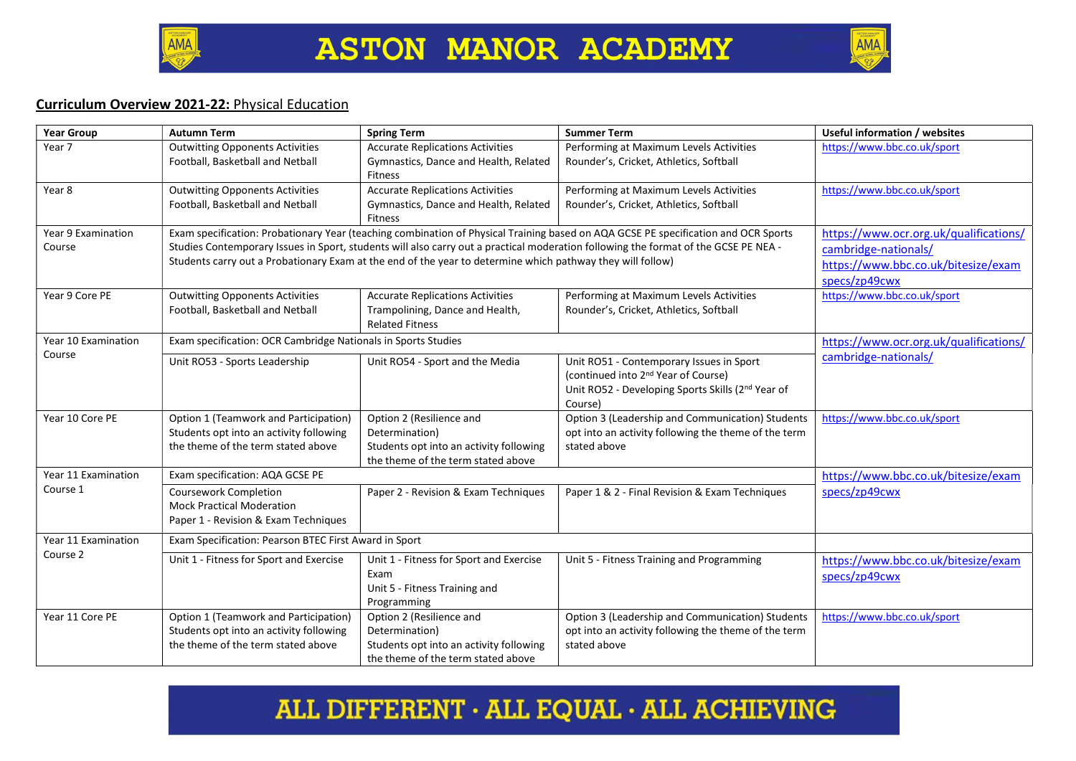



## Curriculum Overview 2021-22: Physical Education

| <b>Year Group</b>             | <b>Autumn Term</b>                                                                                                                                                                                                                                | <b>Spring Term</b>                                                                                                          | <b>Summer Term</b>                                                                                                                                          | Useful information / websites                                                |
|-------------------------------|---------------------------------------------------------------------------------------------------------------------------------------------------------------------------------------------------------------------------------------------------|-----------------------------------------------------------------------------------------------------------------------------|-------------------------------------------------------------------------------------------------------------------------------------------------------------|------------------------------------------------------------------------------|
| Year 7                        | <b>Outwitting Opponents Activities</b><br>Football, Basketball and Netball                                                                                                                                                                        | <b>Accurate Replications Activities</b><br>Gymnastics, Dance and Health, Related<br><b>Fitness</b>                          | Performing at Maximum Levels Activities<br>Rounder's, Cricket, Athletics, Softball                                                                          | https://www.bbc.co.uk/sport                                                  |
| Year 8                        | <b>Outwitting Opponents Activities</b><br>Football, Basketball and Netball                                                                                                                                                                        | <b>Accurate Replications Activities</b><br>Gymnastics, Dance and Health, Related<br><b>Fitness</b>                          | Performing at Maximum Levels Activities<br>Rounder's, Cricket, Athletics, Softball                                                                          | https://www.bbc.co.uk/sport                                                  |
| Year 9 Examination            | Exam specification: Probationary Year (teaching combination of Physical Training based on AQA GCSE PE specification and OCR Sports                                                                                                                |                                                                                                                             |                                                                                                                                                             | https://www.ocr.org.uk/qualifications/                                       |
| Course                        | Studies Contemporary Issues in Sport, students will also carry out a practical moderation following the format of the GCSE PE NEA -<br>Students carry out a Probationary Exam at the end of the year to determine which pathway they will follow) |                                                                                                                             |                                                                                                                                                             | cambridge-nationals/<br>https://www.bbc.co.uk/bitesize/exam<br>specs/zp49cwx |
| Year 9 Core PE                | <b>Outwitting Opponents Activities</b><br>Football, Basketball and Netball                                                                                                                                                                        | <b>Accurate Replications Activities</b><br>Trampolining, Dance and Health,<br><b>Related Fitness</b>                        | Performing at Maximum Levels Activities<br>Rounder's, Cricket, Athletics, Softball                                                                          | https://www.bbc.co.uk/sport                                                  |
| Year 10 Examination<br>Course | Exam specification: OCR Cambridge Nationals in Sports Studies                                                                                                                                                                                     |                                                                                                                             |                                                                                                                                                             | https://www.ocr.org.uk/qualifications/                                       |
|                               | Unit RO53 - Sports Leadership                                                                                                                                                                                                                     | Unit RO54 - Sport and the Media                                                                                             | Unit RO51 - Contemporary Issues in Sport<br>(continued into 2 <sup>nd</sup> Year of Course)<br>Unit RO52 - Developing Sports Skills (2nd Year of<br>Course) | cambridge-nationals/                                                         |
| Year 10 Core PE               | Option 1 (Teamwork and Participation)<br>Students opt into an activity following<br>the theme of the term stated above                                                                                                                            | Option 2 (Resilience and<br>Determination)<br>Students opt into an activity following<br>the theme of the term stated above | Option 3 (Leadership and Communication) Students<br>opt into an activity following the theme of the term<br>stated above                                    | https://www.bbc.co.uk/sport                                                  |
| Year 11 Examination           | Exam specification: AQA GCSE PE                                                                                                                                                                                                                   |                                                                                                                             |                                                                                                                                                             | https://www.bbc.co.uk/bitesize/exam                                          |
| Course 1                      | Coursework Completion<br><b>Mock Practical Moderation</b><br>Paper 1 - Revision & Exam Techniques                                                                                                                                                 | Paper 2 - Revision & Exam Techniques                                                                                        | Paper 1 & 2 - Final Revision & Exam Techniques                                                                                                              | specs/zp49cwx                                                                |
| Year 11 Examination           | Exam Specification: Pearson BTEC First Award in Sport                                                                                                                                                                                             |                                                                                                                             |                                                                                                                                                             |                                                                              |
| Course 2                      | Unit 1 - Fitness for Sport and Exercise                                                                                                                                                                                                           | Unit 1 - Fitness for Sport and Exercise<br>Exam<br>Unit 5 - Fitness Training and<br>Programming                             | Unit 5 - Fitness Training and Programming                                                                                                                   | https://www.bbc.co.uk/bitesize/exam<br>specs/zp49cwx                         |
| Year 11 Core PE               | Option 1 (Teamwork and Participation)<br>Students opt into an activity following<br>the theme of the term stated above                                                                                                                            | Option 2 (Resilience and<br>Determination)<br>Students opt into an activity following<br>the theme of the term stated above | Option 3 (Leadership and Communication) Students<br>opt into an activity following the theme of the term<br>stated above                                    | https://www.bbc.co.uk/sport                                                  |

## ALL DIFFERENT  $\cdot$  ALL EQUAL  $\cdot$  ALL ACHIEVING